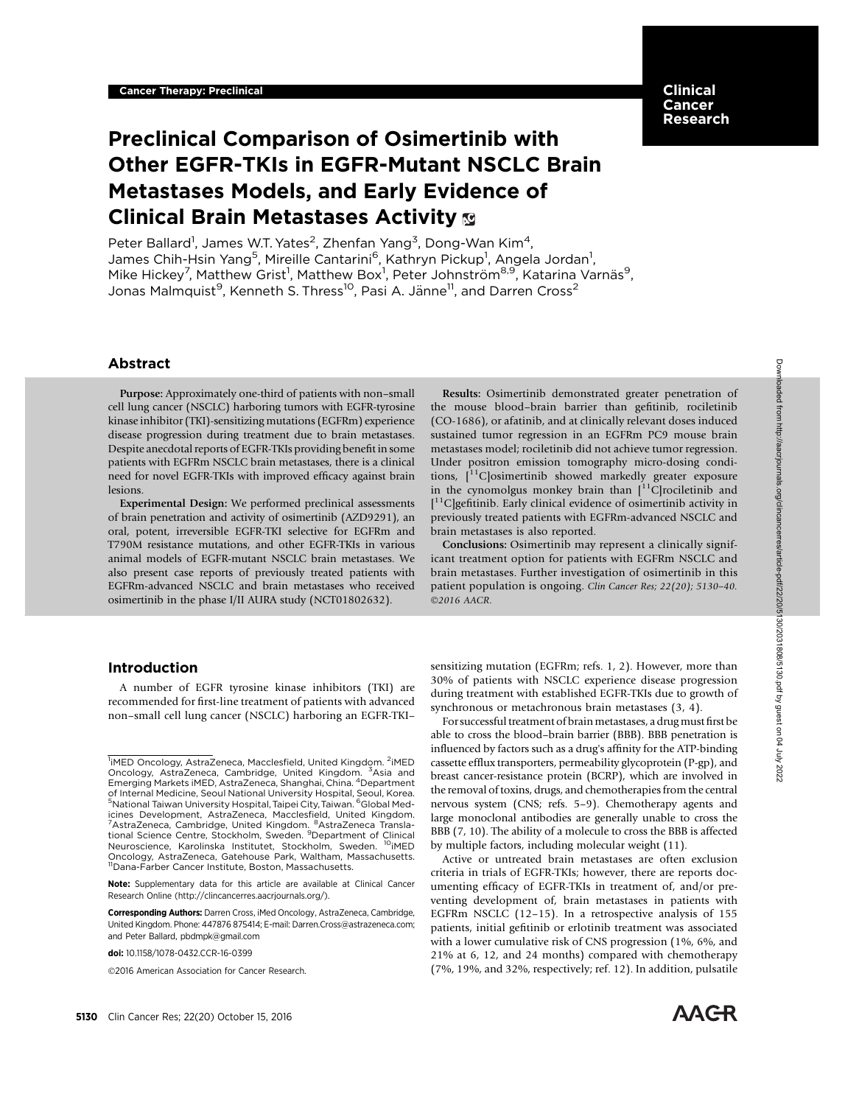## Clinical Cancer Research

# Preclinical Comparison of Osimertinib with Other EGFR-TKIs in EGFR-Mutant NSCLC Brain Metastases Models, and Early Evidence of Clinical Brain Metastases Activity

Peter Ballard<sup>1</sup>, James W.T. Yates<sup>2</sup>, Zhenfan Yang<sup>3</sup>, Dong-Wan Kim<sup>4</sup>, James Chih-Hsin Yang<sup>5</sup>, Mireille Cantarini<sup>6</sup>, Kathryn Pickup<sup>1</sup>, Angela Jordan<sup>1</sup>, Mike Hickey<sup>7</sup>, Matthew Grist<sup>1</sup>, Matthew Box<sup>1</sup>, Peter Johnström<sup>8,9</sup>, Katarina Varnäs<sup>9</sup>, Jonas Malmquist<sup>9</sup>, Kenneth S. Thress<sup>10</sup>, Pasi A. Jänne<sup>11</sup>, and Darren Cross<sup>2</sup>

## Abstract

Purpose: Approximately one-third of patients with non–small cell lung cancer (NSCLC) harboring tumors with EGFR-tyrosine kinase inhibitor (TKI)-sensitizing mutations (EGFRm) experience disease progression during treatment due to brain metastases. Despite anecdotal reports of EGFR-TKIs providing benefit in some patients with EGFRm NSCLC brain metastases, there is a clinical need for novel EGFR-TKIs with improved efficacy against brain lesions.

Experimental Design: We performed preclinical assessments of brain penetration and activity of osimertinib (AZD9291), an oral, potent, irreversible EGFR-TKI selective for EGFRm and T790M resistance mutations, and other EGFR-TKIs in various animal models of EGFR-mutant NSCLC brain metastases. We also present case reports of previously treated patients with EGFRm-advanced NSCLC and brain metastases who received osimertinib in the phase I/II AURA study (NCT01802632).

Results: Osimertinib demonstrated greater penetration of the mouse blood–brain barrier than gefitinib, rociletinib (CO-1686), or afatinib, and at clinically relevant doses induced sustained tumor regression in an EGFRm PC9 mouse brain metastases model; rociletinib did not achieve tumor regression. Under positron emission tomography micro-dosing conditions,  $\left[1\right]$ C | osimertinib showed markedly greater exposure in the cynomolgus monkey brain than  $\int_1^{1}C$  rociletinib and [ 11C]gefitinib. Early clinical evidence of osimertinib activity in previously treated patients with EGFRm-advanced NSCLC and brain metastases is also reported.

Conclusions: Osimertinib may represent a clinically significant treatment option for patients with EGFRm NSCLC and brain metastases. Further investigation of osimertinib in this patient population is ongoing. Clin Cancer Res; 22(20); 5130–40. ©2016 AACR.

## Introduction

A number of EGFR tyrosine kinase inhibitors (TKI) are recommended for first-line treatment of patients with advanced non–small cell lung cancer (NSCLC) harboring an EGFR-TKI–

Corresponding Authors: Darren Cross, iMed Oncology, AstraZeneca, Cambridge, United Kingdom. Phone: 447876 875414; E-mail: Darren.Cross@astrazeneca.com; and Peter Ballard, pbdmpk@gmail.com

2016 American Association for Cancer Research.

sensitizing mutation (EGFRm; refs. 1, 2). However, more than 30% of patients with NSCLC experience disease progression during treatment with established EGFR-TKIs due to growth of synchronous or metachronous brain metastases (3, 4).

For successful treatment of brain metastases, a drug must first be able to cross the blood–brain barrier (BBB). BBB penetration is influenced by factors such as a drug's affinity for the ATP-binding cassette efflux transporters, permeability glycoprotein (P-gp), and breast cancer-resistance protein (BCRP), which are involved in the removal of toxins, drugs, and chemotherapies from the central nervous system (CNS; refs. 5–9). Chemotherapy agents and large monoclonal antibodies are generally unable to cross the BBB (7, 10). The ability of a molecule to cross the BBB is affected by multiple factors, including molecular weight (11).

Active or untreated brain metastases are often exclusion criteria in trials of EGFR-TKIs; however, there are reports documenting efficacy of EGFR-TKIs in treatment of, and/or preventing development of, brain metastases in patients with EGFRm NSCLC (12–15). In a retrospective analysis of 155 patients, initial gefitinib or erlotinib treatment was associated with a lower cumulative risk of CNS progression (1%, 6%, and 21% at 6, 12, and 24 months) compared with chemotherapy (7%, 19%, and 32%, respectively; ref. 12). In addition, pulsatile



<sup>&</sup>lt;sup>1</sup>iMED Oncology, AstraZeneca, Macclesfield, United Kingdom. <sup>2</sup>iMED Oncology, AstraZeneca, Cambridge, United Kingdom. <sup>3</sup>Asia and<br>Emerging Markets iMED, AstraZeneca, Shanghai, China. <sup>4</sup>Department of Internal Medicine, Seoul National University Hospital, Seoul, Korea. <sup>5</sup>National Taiwan University Hospital, Taipei City, Taiwan. <sup>6</sup>Global Medicines Development, AstraZeneca, Macclesfield, United Kingdom.<br><sup>7</sup>AstraZeneca, Cambridge, United Kingdom. <sup>8</sup>AstraZeneca Translational Science Centre, Stockholm, Sweden. <sup>9</sup>Department of Clinical<br>Neuroscience, Karolinska I Oncology, AstraZeneca, Gatehouse Park, Waltham, Massachusetts.<br><sup>11</sup>Dana-Farber Cancer Institute, Boston, Massachusetts.

Note: Supplementary data for this article are available at Clinical Cancer Research Online (http://clincancerres.aacrjournals.org/).

doi: 10.1158/1078-0432.CCR-16-0399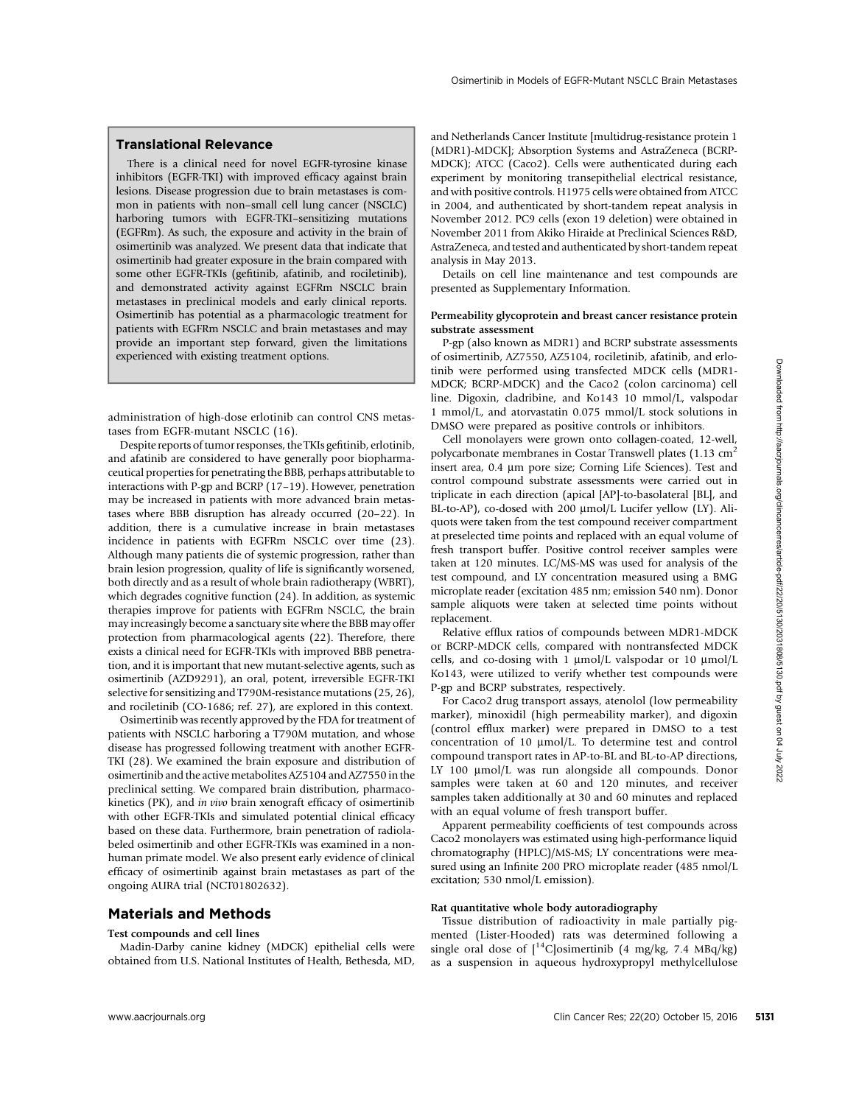## Translational Relevance

There is a clinical need for novel EGFR-tyrosine kinase inhibitors (EGFR-TKI) with improved efficacy against brain lesions. Disease progression due to brain metastases is common in patients with non–small cell lung cancer (NSCLC) harboring tumors with EGFR-TKI–sensitizing mutations (EGFRm). As such, the exposure and activity in the brain of osimertinib was analyzed. We present data that indicate that osimertinib had greater exposure in the brain compared with some other EGFR-TKIs (gefitinib, afatinib, and rociletinib), and demonstrated activity against EGFRm NSCLC brain metastases in preclinical models and early clinical reports. Osimertinib has potential as a pharmacologic treatment for patients with EGFRm NSCLC and brain metastases and may provide an important step forward, given the limitations experienced with existing treatment options.

administration of high-dose erlotinib can control CNS metastases from EGFR-mutant NSCLC (16).

Despite reports of tumor responses, the TKIs gefitinib, erlotinib, and afatinib are considered to have generally poor biopharmaceutical properties for penetrating the BBB, perhaps attributable to interactions with P-gp and BCRP (17–19). However, penetration may be increased in patients with more advanced brain metastases where BBB disruption has already occurred (20–22). In addition, there is a cumulative increase in brain metastases incidence in patients with EGFRm NSCLC over time (23). Although many patients die of systemic progression, rather than brain lesion progression, quality of life is significantly worsened, both directly and as a result of whole brain radiotherapy (WBRT), which degrades cognitive function (24). In addition, as systemic therapies improve for patients with EGFRm NSCLC, the brain may increasingly become a sanctuary site where the BBB may offer protection from pharmacological agents (22). Therefore, there exists a clinical need for EGFR-TKIs with improved BBB penetration, and it is important that new mutant-selective agents, such as osimertinib (AZD9291), an oral, potent, irreversible EGFR-TKI selective for sensitizing and T790M-resistance mutations (25, 26), and rociletinib (CO-1686; ref. 27), are explored in this context.

Osimertinib was recently approved by the FDA for treatment of patients with NSCLC harboring a T790M mutation, and whose disease has progressed following treatment with another EGFR-TKI (28). We examined the brain exposure and distribution of osimertinib and the active metabolites AZ5104 and AZ7550 in the preclinical setting. We compared brain distribution, pharmacokinetics (PK), and in vivo brain xenograft efficacy of osimertinib with other EGFR-TKIs and simulated potential clinical efficacy based on these data. Furthermore, brain penetration of radiolabeled osimertinib and other EGFR-TKIs was examined in a nonhuman primate model. We also present early evidence of clinical efficacy of osimertinib against brain metastases as part of the ongoing AURA trial (NCT01802632).

## Materials and Methods

## Test compounds and cell lines

Madin-Darby canine kidney (MDCK) epithelial cells were obtained from U.S. National Institutes of Health, Bethesda, MD,

and Netherlands Cancer Institute [multidrug-resistance protein 1 (MDR1)-MDCK]; Absorption Systems and AstraZeneca (BCRP-MDCK); ATCC (Caco2). Cells were authenticated during each experiment by monitoring transepithelial electrical resistance, and with positive controls. H1975 cells were obtained from ATCC in 2004, and authenticated by short-tandem repeat analysis in November 2012. PC9 cells (exon 19 deletion) were obtained in November 2011 from Akiko Hiraide at Preclinical Sciences R&D, AstraZeneca, and tested and authenticated by short-tandem repeat analysis in May 2013.

Details on cell line maintenance and test compounds are presented as Supplementary Information.

#### Permeability glycoprotein and breast cancer resistance protein substrate assessment

P-gp (also known as MDR1) and BCRP substrate assessments of osimertinib, AZ7550, AZ5104, rociletinib, afatinib, and erlotinib were performed using transfected MDCK cells (MDR1- MDCK; BCRP-MDCK) and the Caco2 (colon carcinoma) cell line. Digoxin, cladribine, and Ko143 10 mmol/L, valspodar 1 mmol/L, and atorvastatin 0.075 mmol/L stock solutions in DMSO were prepared as positive controls or inhibitors.

Cell monolayers were grown onto collagen-coated, 12-well, polycarbonate membranes in Costar Transwell plates  $(1.13 \text{ cm}^2)$ insert area, 0.4 µm pore size; Corning Life Sciences). Test and control compound substrate assessments were carried out in triplicate in each direction (apical [AP]-to-basolateral [BL], and BL-to-AP), co-dosed with 200  $\mu$ mol/L Lucifer yellow (LY). Aliquots were taken from the test compound receiver compartment at preselected time points and replaced with an equal volume of fresh transport buffer. Positive control receiver samples were taken at 120 minutes. LC/MS-MS was used for analysis of the test compound, and LY concentration measured using a BMG microplate reader (excitation 485 nm; emission 540 nm). Donor sample aliquots were taken at selected time points without replacement.

Relative efflux ratios of compounds between MDR1-MDCK or BCRP-MDCK cells, compared with nontransfected MDCK cells, and co-dosing with 1  $\mu$ mol/L valspodar or 10  $\mu$ mol/L Ko143, were utilized to verify whether test compounds were P-gp and BCRP substrates, respectively.

For Caco2 drug transport assays, atenolol (low permeability marker), minoxidil (high permeability marker), and digoxin (control efflux marker) were prepared in DMSO to a test concentration of 10 mmol/L. To determine test and control compound transport rates in AP-to-BL and BL-to-AP directions, LY 100  $\mu$ mol/L was run alongside all compounds. Donor samples were taken at 60 and 120 minutes, and receiver samples taken additionally at 30 and 60 minutes and replaced with an equal volume of fresh transport buffer.

Apparent permeability coefficients of test compounds across Caco2 monolayers was estimated using high-performance liquid chromatography (HPLC)/MS-MS; LY concentrations were measured using an Infinite 200 PRO microplate reader (485 nmol/L excitation; 530 nmol/L emission).

#### Rat quantitative whole body autoradiography

Tissue distribution of radioactivity in male partially pigmented (Lister-Hooded) rats was determined following a single oral dose of  $[{}^{14}C]$ osimertinib (4 mg/kg, 7.4 MBq/kg) as a suspension in aqueous hydroxypropyl methylcellulose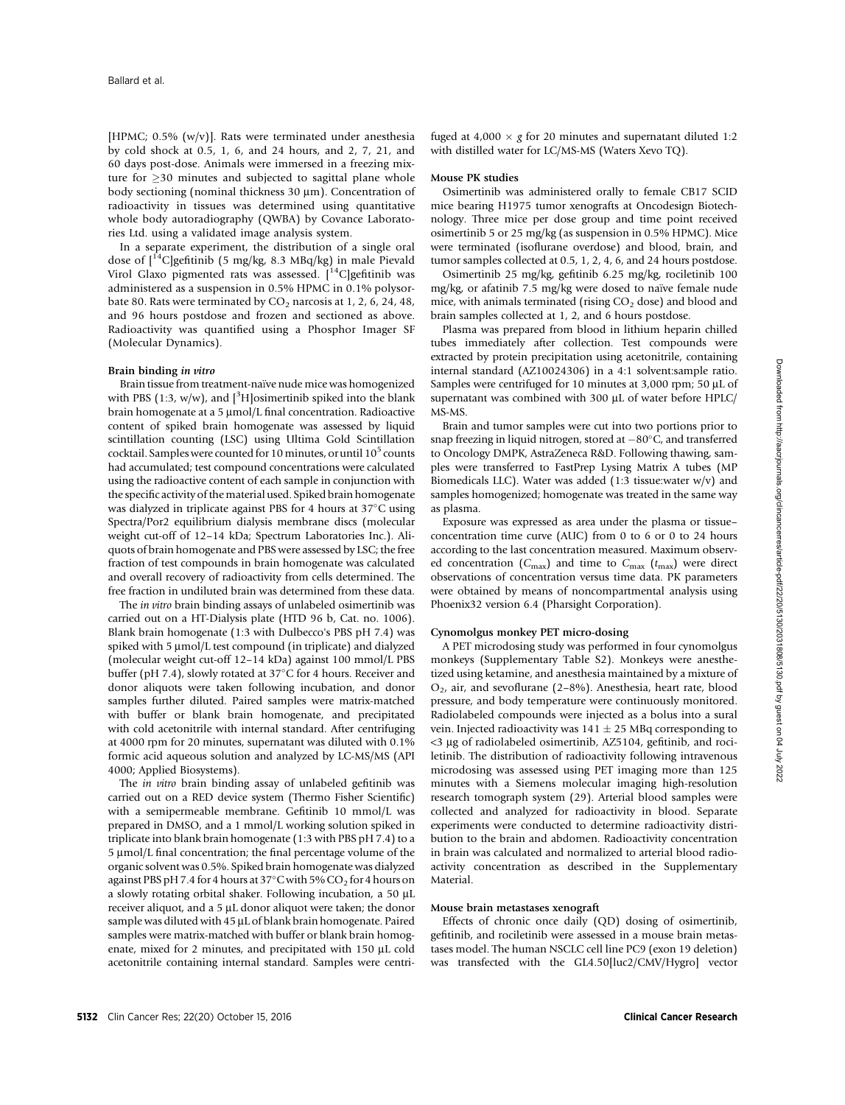[HPMC; 0.5% (w/v)]. Rats were terminated under anesthesia by cold shock at 0.5, 1, 6, and 24 hours, and 2, 7, 21, and 60 days post-dose. Animals were immersed in a freezing mixture for  $\geq$  30 minutes and subjected to sagittal plane whole body sectioning (nominal thickness  $30 \mu m$ ). Concentration of radioactivity in tissues was determined using quantitative whole body autoradiography (QWBA) by Covance Laboratories Ltd. using a validated image analysis system.

In a separate experiment, the distribution of a single oral dose of  $\int_0^{14}$ C]gefitinib (5 mg/kg, 8.3 MBq/kg) in male Pievald Virol Glaxo pigmented rats was assessed.  $[$ <sup>14</sup>C]gefitinib was administered as a suspension in 0.5% HPMC in 0.1% polysorbate 80. Rats were terminated by  $CO<sub>2</sub>$  narcosis at 1, 2, 6, 24, 48, and 96 hours postdose and frozen and sectioned as above. Radioactivity was quantified using a Phosphor Imager SF (Molecular Dynamics).

#### Brain binding in vitro

Brain tissue from treatment-naïve nude mice was homogenized with PBS (1:3, w/w), and  $[3H]$ osimertinib spiked into the blank brain homogenate at a 5  $\mu$ mol/L final concentration. Radioactive content of spiked brain homogenate was assessed by liquid scintillation counting (LSC) using Ultima Gold Scintillation cocktail. Samples were counted for 10 minutes, or until  $10^5$  counts had accumulated; test compound concentrations were calculated using the radioactive content of each sample in conjunction with the specific activity of the material used. Spiked brain homogenate was dialyzed in triplicate against PBS for 4 hours at  $37^{\circ}$ C using Spectra/Por2 equilibrium dialysis membrane discs (molecular weight cut-off of 12–14 kDa; Spectrum Laboratories Inc.). Aliquots of brain homogenate and PBS were assessed by LSC; the free fraction of test compounds in brain homogenate was calculated and overall recovery of radioactivity from cells determined. The free fraction in undiluted brain was determined from these data.

The in vitro brain binding assays of unlabeled osimertinib was carried out on a HT-Dialysis plate (HTD 96 b, Cat. no. 1006). Blank brain homogenate (1:3 with Dulbecco's PBS pH 7.4) was spiked with 5  $\mu$ mol/L test compound (in triplicate) and dialyzed (molecular weight cut-off 12–14 kDa) against 100 mmol/L PBS buffer (pH 7.4), slowly rotated at 37°C for 4 hours. Receiver and donor aliquots were taken following incubation, and donor samples further diluted. Paired samples were matrix-matched with buffer or blank brain homogenate, and precipitated with cold acetonitrile with internal standard. After centrifuging at 4000 rpm for 20 minutes, supernatant was diluted with 0.1% formic acid aqueous solution and analyzed by LC-MS/MS (API 4000; Applied Biosystems).

The in vitro brain binding assay of unlabeled gefitinib was carried out on a RED device system (Thermo Fisher Scientific) with a semipermeable membrane. Gefitinib 10 mmol/L was prepared in DMSO, and a 1 mmol/L working solution spiked in triplicate into blank brain homogenate (1:3 with PBS pH 7.4) to a  $5 \mu$ mol/L final concentration; the final percentage volume of the organic solvent was 0.5%. Spiked brain homogenate was dialyzed against PBS pH 7.4 for 4 hours at  $37^{\circ}$ C with 5% CO<sub>2</sub> for 4 hours on a slowly rotating orbital shaker. Following incubation, a 50 µL receiver aliquot, and a 5  $\mu$ L donor aliquot were taken; the donor sample was diluted with  $45 \mu L$  of blank brain homogenate. Paired samples were matrix-matched with buffer or blank brain homogenate, mixed for 2 minutes, and precipitated with 150  $\mu$ L cold acetonitrile containing internal standard. Samples were centri-

#### Mouse PK studies

Osimertinib was administered orally to female CB17 SCID mice bearing H1975 tumor xenografts at Oncodesign Biotechnology. Three mice per dose group and time point received osimertinib 5 or 25 mg/kg (as suspension in 0.5% HPMC). Mice were terminated (isoflurane overdose) and blood, brain, and tumor samples collected at 0.5, 1, 2, 4, 6, and 24 hours postdose.

Osimertinib 25 mg/kg, gefitinib 6.25 mg/kg, rociletinib 100 mg/kg, or afatinib 7.5 mg/kg were dosed to naïve female nude mice, with animals terminated (rising  $CO<sub>2</sub>$  dose) and blood and brain samples collected at 1, 2, and 6 hours postdose.

Plasma was prepared from blood in lithium heparin chilled tubes immediately after collection. Test compounds were extracted by protein precipitation using acetonitrile, containing internal standard (AZ10024306) in a 4:1 solvent:sample ratio. Samples were centrifuged for 10 minutes at 3,000 rpm; 50  $\mu$ L of supernatant was combined with 300 µL of water before HPLC/ MS-MS.

Brain and tumor samples were cut into two portions prior to snap freezing in liquid nitrogen, stored at  $-80^{\circ}$ C, and transferred to Oncology DMPK, AstraZeneca R&D. Following thawing, samples were transferred to FastPrep Lysing Matrix A tubes (MP Biomedicals LLC). Water was added (1:3 tissue:water w/v) and samples homogenized; homogenate was treated in the same way as plasma.

Exposure was expressed as area under the plasma or tissue– concentration time curve (AUC) from 0 to 6 or 0 to 24 hours according to the last concentration measured. Maximum observed concentration ( $C_{\text{max}}$ ) and time to  $C_{\text{max}}$  ( $t_{\text{max}}$ ) were direct observations of concentration versus time data. PK parameters were obtained by means of noncompartmental analysis using Phoenix32 version 6.4 (Pharsight Corporation).

#### Cynomolgus monkey PET micro-dosing

A PET microdosing study was performed in four cynomolgus monkeys (Supplementary Table S2). Monkeys were anesthetized using ketamine, and anesthesia maintained by a mixture of  $O<sub>2</sub>$ , air, and sevoflurane (2–8%). Anesthesia, heart rate, blood pressure, and body temperature were continuously monitored. Radiolabeled compounds were injected as a bolus into a sural vein. Injected radioactivity was  $141 \pm 25$  MBq corresponding to <3 mg of radiolabeled osimertinib, AZ5104, gefitinib, and rociletinib. The distribution of radioactivity following intravenous microdosing was assessed using PET imaging more than 125 minutes with a Siemens molecular imaging high-resolution research tomograph system (29). Arterial blood samples were collected and analyzed for radioactivity in blood. Separate experiments were conducted to determine radioactivity distribution to the brain and abdomen. Radioactivity concentration in brain was calculated and normalized to arterial blood radioactivity concentration as described in the Supplementary Material.

#### Mouse brain metastases xenograft

Effects of chronic once daily (QD) dosing of osimertinib, gefitinib, and rociletinib were assessed in a mouse brain metastases model. The human NSCLC cell line PC9 (exon 19 deletion) was transfected with the GL4.50[luc2/CMV/Hygro] vector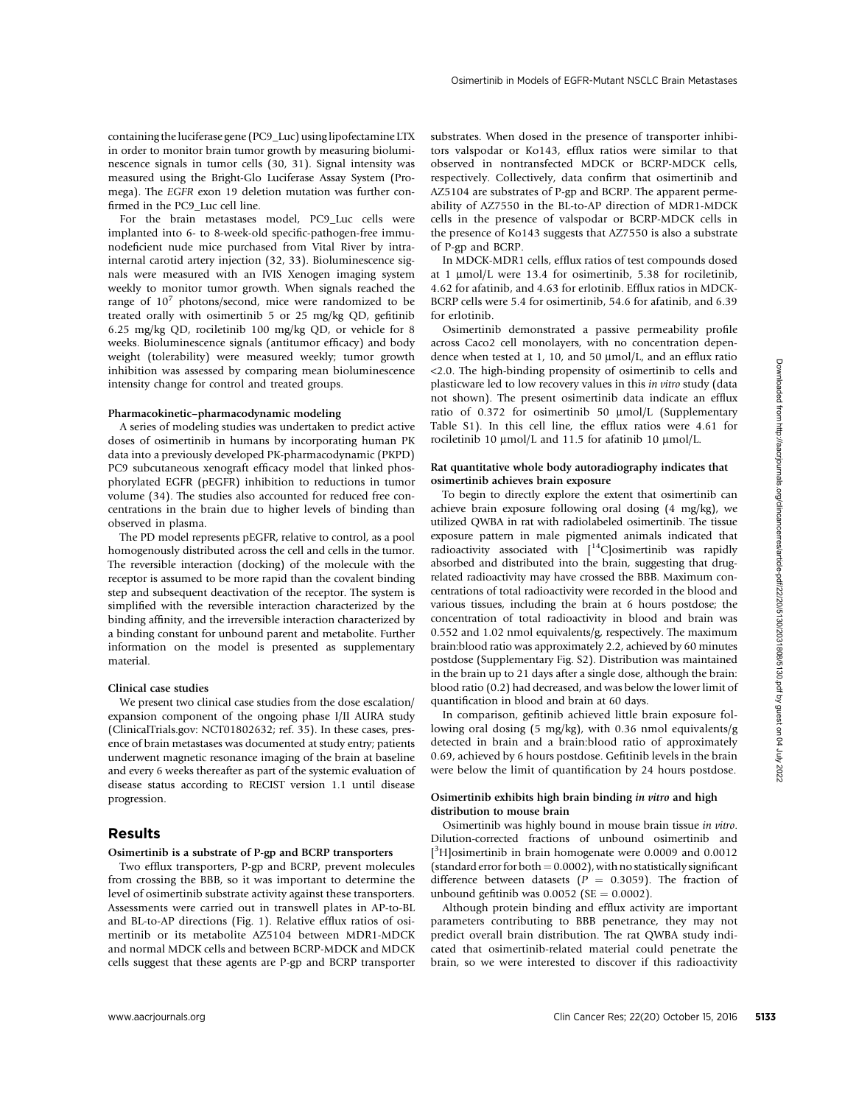Osimertinib in Models of EGFR-Mutant NSCLC Brain Metastases

containing the luciferase gene (PC9\_Luc) using lipofectamine LTX in order to monitor brain tumor growth by measuring bioluminescence signals in tumor cells (30, 31). Signal intensity was measured using the Bright-Glo Luciferase Assay System (Promega). The EGFR exon 19 deletion mutation was further confirmed in the PC9\_Luc cell line.

For the brain metastases model, PC9\_Luc cells were implanted into 6- to 8-week-old specific-pathogen-free immunodeficient nude mice purchased from Vital River by intrainternal carotid artery injection (32, 33). Bioluminescence signals were measured with an IVIS Xenogen imaging system weekly to monitor tumor growth. When signals reached the range of  $10^7$  photons/second, mice were randomized to be treated orally with osimertinib 5 or 25 mg/kg QD, gefitinib 6.25 mg/kg QD, rociletinib 100 mg/kg QD, or vehicle for 8 weeks. Bioluminescence signals (antitumor efficacy) and body weight (tolerability) were measured weekly; tumor growth inhibition was assessed by comparing mean bioluminescence intensity change for control and treated groups.

#### Pharmacokinetic–pharmacodynamic modeling

A series of modeling studies was undertaken to predict active doses of osimertinib in humans by incorporating human PK data into a previously developed PK-pharmacodynamic (PKPD) PC9 subcutaneous xenograft efficacy model that linked phosphorylated EGFR (pEGFR) inhibition to reductions in tumor volume (34). The studies also accounted for reduced free concentrations in the brain due to higher levels of binding than observed in plasma.

The PD model represents pEGFR, relative to control, as a pool homogenously distributed across the cell and cells in the tumor. The reversible interaction (docking) of the molecule with the receptor is assumed to be more rapid than the covalent binding step and subsequent deactivation of the receptor. The system is simplified with the reversible interaction characterized by the binding affinity, and the irreversible interaction characterized by a binding constant for unbound parent and metabolite. Further information on the model is presented as supplementary material.

#### Clinical case studies

We present two clinical case studies from the dose escalation/ expansion component of the ongoing phase I/II AURA study (ClinicalTrials.gov: NCT01802632; ref. 35). In these cases, presence of brain metastases was documented at study entry; patients underwent magnetic resonance imaging of the brain at baseline and every 6 weeks thereafter as part of the systemic evaluation of disease status according to RECIST version 1.1 until disease progression.

## Results

#### Osimertinib is a substrate of P-gp and BCRP transporters

Two efflux transporters, P-gp and BCRP, prevent molecules from crossing the BBB, so it was important to determine the level of osimertinib substrate activity against these transporters. Assessments were carried out in transwell plates in AP-to-BL and BL-to-AP directions (Fig. 1). Relative efflux ratios of osimertinib or its metabolite AZ5104 between MDR1-MDCK and normal MDCK cells and between BCRP-MDCK and MDCK cells suggest that these agents are P-gp and BCRP transporter substrates. When dosed in the presence of transporter inhibitors valspodar or Ko143, efflux ratios were similar to that observed in nontransfected MDCK or BCRP-MDCK cells, respectively. Collectively, data confirm that osimertinib and AZ5104 are substrates of P-gp and BCRP. The apparent permeability of AZ7550 in the BL-to-AP direction of MDR1-MDCK cells in the presence of valspodar or BCRP-MDCK cells in the presence of Ko143 suggests that AZ7550 is also a substrate of P-gp and BCRP.

In MDCK-MDR1 cells, efflux ratios of test compounds dosed at 1 µmol/L were 13.4 for osimertinib, 5.38 for rociletinib, 4.62 for afatinib, and 4.63 for erlotinib. Efflux ratios in MDCK-BCRP cells were 5.4 for osimertinib, 54.6 for afatinib, and 6.39 for erlotinib.

Osimertinib demonstrated a passive permeability profile across Caco2 cell monolayers, with no concentration dependence when tested at 1, 10, and 50  $\mu$ mol/L, and an efflux ratio <2.0. The high-binding propensity of osimertinib to cells and plasticware led to low recovery values in this in vitro study (data not shown). The present osimertinib data indicate an efflux ratio of 0.372 for osimertinib 50 µmol/L (Supplementary Table S1). In this cell line, the efflux ratios were 4.61 for rociletinib 10  $\mu$ mol/L and 11.5 for afatinib 10  $\mu$ mol/L.

#### Rat quantitative whole body autoradiography indicates that osimertinib achieves brain exposure

To begin to directly explore the extent that osimertinib can achieve brain exposure following oral dosing (4 mg/kg), we utilized QWBA in rat with radiolabeled osimertinib. The tissue exposure pattern in male pigmented animals indicated that radioactivity associated with [14C]osimertinib was rapidly absorbed and distributed into the brain, suggesting that drugrelated radioactivity may have crossed the BBB. Maximum concentrations of total radioactivity were recorded in the blood and various tissues, including the brain at 6 hours postdose; the concentration of total radioactivity in blood and brain was 0.552 and 1.02 nmol equivalents/g, respectively. The maximum brain:blood ratio was approximately 2.2, achieved by 60 minutes postdose (Supplementary Fig. S2). Distribution was maintained in the brain up to 21 days after a single dose, although the brain: blood ratio (0.2) had decreased, and was below the lower limit of quantification in blood and brain at 60 days. www.astaxteed by comparisons controllation was a model and proposition in the climate proposition of the state of the state of the state of the state of the state of the state of the state of the state of the state of the

In comparison, gefitinib achieved little brain exposure following oral dosing (5 mg/kg), with 0.36 nmol equivalents/g detected in brain and a brain:blood ratio of approximately 0.69, achieved by 6 hours postdose. Gefitinib levels in the brain were below the limit of quantification by 24 hours postdose.

#### Osimertinib exhibits high brain binding in vitro and high distribution to mouse brain

Osimertinib was highly bound in mouse brain tissue in vitro. Dilution-corrected fractions of unbound osimertinib and [<sup>3</sup>H]osimertinib in brain homogenate were 0.0009 and 0.0012 (standard error for both  $= 0.0002$ ), with no statistically significant difference between datasets ( $P = 0.3059$ ). The fraction of unbound gefitinib was  $0.0052$  (SE = 0.0002).

Although protein binding and efflux activity are important parameters contributing to BBB penetrance, they may not predict overall brain distribution. The rat QWBA study indicated that osimertinib-related material could penetrate the brain, so we were interested to discover if this radioactivity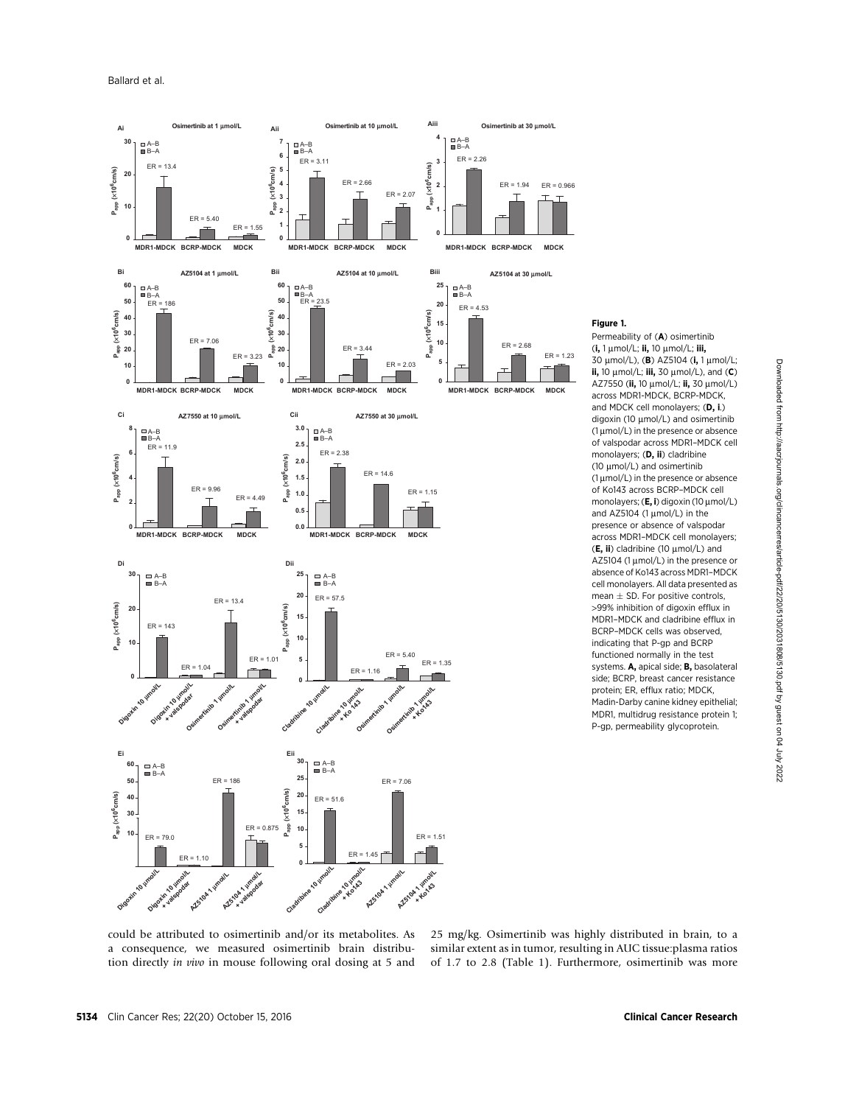

Figure 1.

Permeability of (A) osimertinib  $(i, 1 \mu \text{mol/L}; ii, 10 \mu \text{mol/L}; iii,$ 30  $\mu$ mol/L), (**B**) AZ5104 (i, 1 $\mu$ mol/L; ii, 10  $\mu$ mol/L; iii, 30  $\mu$ mol/L), and (C) AZ7550 (ii, 10 µmol/L; ii, 30 µmol/L) across MDR1-MDCK, BCRP-MDCK, and MDCK cell monolayers; (D, i.) digoxin (10 µmol/L) and osimertinib  $(1 \mu \text{mol/L})$  in the presence or absence of valspodar across MDR1–MDCK cell monolayers; (D, ii) cladribine (10  $\mu$ mol/L) and osimertinib  $(1 \mu \text{mol/L})$  in the presence or absence of Ko143 across BCRP–MDCK cell monolayers;  $(E, i)$  digoxin (10  $\mu$ mol/L) and AZ5104 (1  $\mu$ mol/L) in the presence or absence of valspodar across MDR1–MDCK cell monolayers;  $(E, ii)$  cladribine (10  $\mu$ mol/L) and AZ5104 (1  $\mu$ mol/L) in the presence or absence of Ko143 across MDR1–MDCK cell monolayers. All data presented as mean  $\pm$  SD. For positive controls, >99% inhibition of digoxin efflux in MDR1–MDCK and cladribine efflux in BCRP–MDCK cells was observed, indicating that P-gp and BCRP functioned normally in the test systems. A, apical side; B, basolateral side; BCRP, breast cancer resistance protein; ER, efflux ratio; MDCK, Madin-Darby canine kidney epithelial; MDR1, multidrug resistance protein 1; P-gp, permeability glycoprotein.

could be attributed to osimertinib and/or its metabolites. As a consequence, we measured osimertinib brain distribution directly in vivo in mouse following oral dosing at 5 and

25 mg/kg. Osimertinib was highly distributed in brain, to a similar extent as in tumor, resulting in AUC tissue:plasma ratios of 1.7 to 2.8 (Table 1). Furthermore, osimertinib was more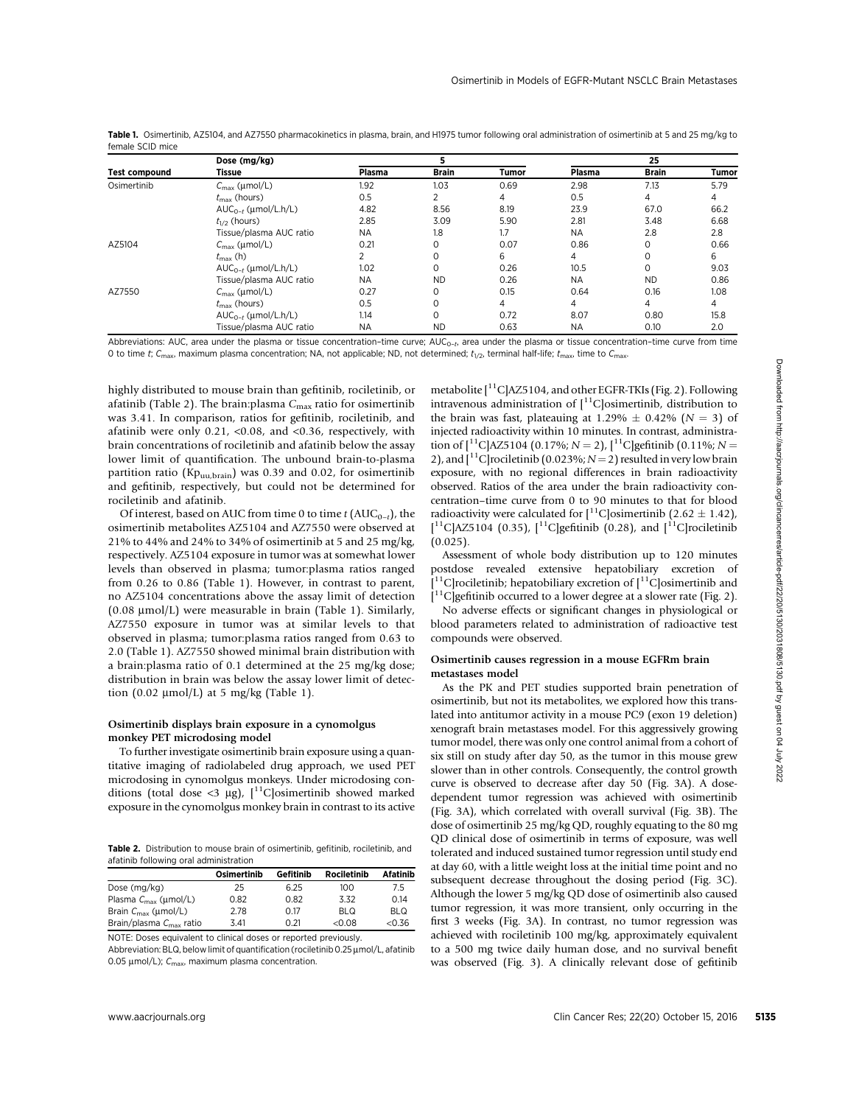|                      | Dose (mg/kg)                                |           |           |       | 25        |                                                                      |              |
|----------------------|---------------------------------------------|-----------|-----------|-------|-----------|----------------------------------------------------------------------|--------------|
| <b>Test compound</b> | Tissue                                      | Plasma    | Brain     | Tumor | Plasma    | <b>Brain</b>                                                         | <b>Tumor</b> |
| Osimertinib          | $C_{\text{max}}$ (µmol/L)                   | 1.92      | 1.03      | 0.69  | 2.98      | 7.13                                                                 | 5.79         |
|                      | $t_{\rm max}$ (hours)                       | 0.5       | ↑         | 4     | 0.5       | 4                                                                    | 4            |
|                      | $AUC_{0-t}$ (µmol/L.h/L)                    | 4.82      | 8.56      | 8.19  | 23.9      | 67.0<br>3.48<br>2.8<br>0<br>0<br>0<br><b>ND</b><br>0.16<br>4<br>0.80 | 66.2         |
|                      | $t_{1/2}$ (hours)                           | 2.85      | 3.09      | 5.90  | 2.81      |                                                                      | 6.68         |
|                      | Tissue/plasma AUC ratio<br>1.8<br><b>NA</b> | 1.7       | <b>NA</b> |       | 2.8       |                                                                      |              |
| AZ5104               | $C_{\text{max}}$ (µmol/L)                   | 0.21      | 0         | 0.07  | 0.86      |                                                                      | 0.66         |
|                      | $t_{\text{max}}$ (h)                        | 2         | 0         | 6     | 4         |                                                                      | 6            |
|                      | $AUC_{0-t}$ (µmol/L.h/L)                    | 1.02      | 0         | 0.26  | 10.5      | 0.10                                                                 | 9.03         |
|                      | Tissue/plasma AUC ratio                     | <b>NA</b> | <b>ND</b> | 0.26  | <b>NA</b> |                                                                      | 0.86         |
| AZ7550               | $C_{\text{max}}$ (µmol/L)                   | 0.27      | 0         | 0.15  | 0.64      |                                                                      | 1.08         |
|                      | $t_{\rm max}$ (hours)                       | 0.5       | 0         | 4     | 4         |                                                                      | 4            |
|                      | $AUC_{0-t}$ (µmol/L.h/L)                    | 1.14      | 0         | 0.72  | 8.07      |                                                                      | 15.8         |
|                      | Tissue/plasma AUC ratio                     | <b>NA</b> | <b>ND</b> | 0.63  | <b>NA</b> |                                                                      | 2.0          |

Table 1. Osimertinib, AZ5104, and AZ7550 pharmacokinetics in plasma, brain, and H1975 tumor following oral administration of osimertinib at 5 and 25 mg/kg to female SCID mice

Abbreviations: AUC, area under the plasma or tissue concentration-time curve; AUC<sub>0-t</sub>, area under the plasma or tissue concentration-time curve from time 0 to time t; C<sub>max</sub>, maximum plasma concentration; NA, not applicable; ND, not determined;  $t_{1/2}$ , terminal half-life;  $t_{\text{max}}$ , time to C<sub>max</sub>.

highly distributed to mouse brain than gefitinib, rociletinib, or afatinib (Table 2). The brain: plasma  $C_{\text{max}}$  ratio for osimertinib was 3.41. In comparison, ratios for gefitinib, rociletinib, and afatinib were only 0.21,  $<0.08$ , and  $<0.36$ , respectively, with brain concentrations of rociletinib and afatinib below the assay lower limit of quantification. The unbound brain-to-plasma partition ratio (Kp<sub>uu,brain</sub>) was 0.39 and 0.02, for osimertinib and gefitinib, respectively, but could not be determined for rociletinib and afatinib.

Of interest, based on AUC from time 0 to time  $t$  (AUC<sub>0-t</sub>), the osimertinib metabolites AZ5104 and AZ7550 were observed at 21% to 44% and 24% to 34% of osimertinib at 5 and 25 mg/kg, respectively. AZ5104 exposure in tumor was at somewhat lower levels than observed in plasma; tumor:plasma ratios ranged from 0.26 to 0.86 (Table 1). However, in contrast to parent, no AZ5104 concentrations above the assay limit of detection (0.08  $\mu$ mol/L) were measurable in brain (Table 1). Similarly, AZ7550 exposure in tumor was at similar levels to that observed in plasma; tumor:plasma ratios ranged from 0.63 to 2.0 (Table 1). AZ7550 showed minimal brain distribution with a brain:plasma ratio of 0.1 determined at the 25 mg/kg dose; distribution in brain was below the assay lower limit of detection  $(0.02 \text{ \mu mol/L})$  at 5 mg/kg (Table 1).

#### Osimertinib displays brain exposure in a cynomolgus monkey PET microdosing model

To further investigate osimertinib brain exposure using a quantitative imaging of radiolabeled drug approach, we used PET microdosing in cynomolgus monkeys. Under microdosing conditions (total dose <3 µg),  $[$ <sup>11</sup>C]osimertinib showed marked exposure in the cynomolgus monkey brain in contrast to its active

Table 2. Distribution to mouse brain of osimertinib, gefitinib, rociletinib, and afatinib following oral administration

|                                     | Osimertinib | Gefitinib | <b>Rociletinib</b> | Afatinib   |
|-------------------------------------|-------------|-----------|--------------------|------------|
| Dose (mg/kg)                        | 25          | 6.25      | 100                | 7.5        |
| Plasma $C_{\text{max}}$ (µmol/L)    | 0.82        | 0.82      | 3.32               | 0.14       |
| Brain $C_{\text{max}}$ (µmol/L)     | 2.78        | O 17      | <b>BLQ</b>         | <b>BLQ</b> |
| Brain/plasma $C_{\text{max}}$ ratio | 3.41        | 0.21      | &0.08              | < 0.36     |

NOTE: Doses equivalent to clinical doses or reported previously. Abbreviation: BLQ, below limit of quantification (rociletinib 0.25 µmol/L, afatinib

0.05  $\mu$ mol/L);  $C_{\text{max}}$ , maximum plasma concentration.

metabolite  $\left[ {}^{11}C \right]$ AZ5104, and other EGFR-TKIs (Fig. 2). Following intravenous administration of  $\int_0^{11}$ C | osimertinib, distribution to the brain was fast, plateauing at 1.29%  $\pm$  0.42% (N = 3) of injected radioactivity within 10 minutes. In contrast, administration of  $\binom{11}{1}$ C|AZ5104 (0.17%; N = 2),  $\binom{11}{1}$ C|gefitinib (0.11%; N = 2), and  $\int_1^{11}$ C | rociletinib (0.023%; N = 2) resulted in very low brain exposure, with no regional differences in brain radioactivity observed. Ratios of the area under the brain radioactivity concentration–time curve from 0 to 90 minutes to that for blood radioactivity were calculated for  $\binom{11}{1}$ C | osimertinib (2.62 ± 1.42),  $[$ <sup>11</sup>C]AZ5104 (0.35),  $[$ <sup>11</sup>C]gefitinib (0.28), and  $[$ <sup>11</sup>C]rociletinib  $(0.025)$ .

Assessment of whole body distribution up to 120 minutes postdose revealed extensive hepatobiliary excretion of [ <sup>11</sup>C]rociletinib; hepatobiliary excretion of  $[$ <sup>11</sup>C]osimertinib and [ <sup>11</sup>C]gefitinib occurred to a lower degree at a slower rate (Fig. 2).

No adverse effects or significant changes in physiological or blood parameters related to administration of radioactive test compounds were observed.

#### Osimertinib causes regression in a mouse EGFRm brain metastases model

As the PK and PET studies supported brain penetration of osimertinib, but not its metabolites, we explored how this translated into antitumor activity in a mouse PC9 (exon 19 deletion) xenograft brain metastases model. For this aggressively growing tumor model, there was only one control animal from a cohort of six still on study after day 50, as the tumor in this mouse grew slower than in other controls. Consequently, the control growth curve is observed to decrease after day 50 (Fig. 3A). A dosedependent tumor regression was achieved with osimertinib (Fig. 3A), which correlated with overall survival (Fig. 3B). The dose of osimertinib 25 mg/kg QD, roughly equating to the 80 mg QD clinical dose of osimertinib in terms of exposure, was well tolerated and induced sustained tumor regression until study end at day 60, with a little weight loss at the initial time point and no subsequent decrease throughout the dosing period (Fig. 3C). Although the lower 5 mg/kg QD dose of osimertinib also caused tumor regression, it was more transient, only occurring in the first 3 weeks (Fig. 3A). In contrast, no tumor regression was achieved with rociletinib 100 mg/kg, approximately equivalent to a 500 mg twice daily human dose, and no survival benefit was observed (Fig. 3). A clinically relevant dose of gefitinib highly distributed to meast train the gention). Solvention between a diversions of PC/Grientries, 22(20) October 15, 2016 october 16, 2016 controlled from https://aacrimic.org/clincancer.<br>
Solvention of the base of the st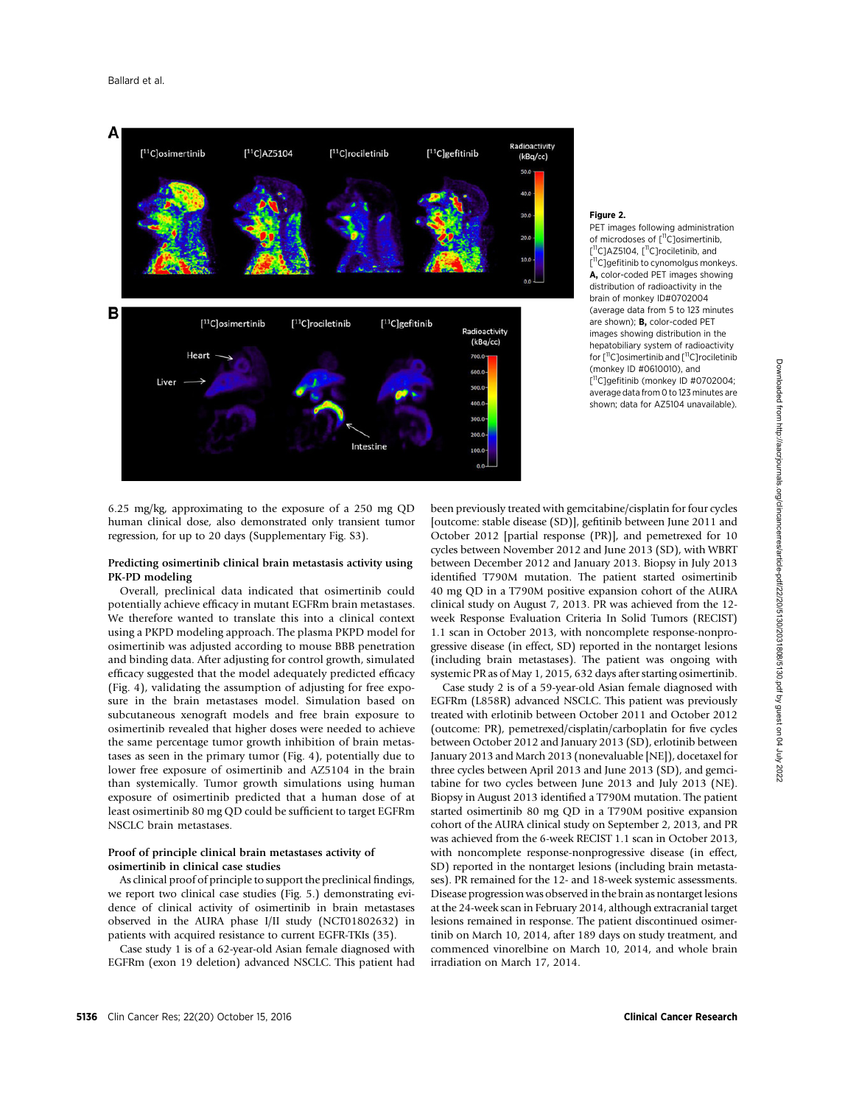

#### Figure 2.

PET images following administration of microdoses of [<sup>11</sup>C]osimertinib, [<sup>11</sup>C]AZ5104, [<sup>11</sup>C]rociletinib, and [<sup>11</sup>C]gefitinib to cynomolgus monkeys. A, color-coded PET images showing distribution of radioactivity in the brain of monkey ID#0702004 (average data from 5 to 123 minutes are shown); **B**, color-coded PET images showing distribution in the hepatobiliary system of radioactivity for [<sup>11</sup>C]osimertinib and [<sup>11</sup>C]rociletinib (monkey ID #0610010), and [<sup>11</sup>C]gefitinib (monkey ID #0702004; average data from 0 to 123 minutes are shown; data for AZ5104 unavailable).

6.25 mg/kg, approximating to the exposure of a 250 mg QD human clinical dose, also demonstrated only transient tumor regression, for up to 20 days (Supplementary Fig. S3).

#### Predicting osimertinib clinical brain metastasis activity using PK-PD modeling

Overall, preclinical data indicated that osimertinib could potentially achieve efficacy in mutant EGFRm brain metastases. We therefore wanted to translate this into a clinical context using a PKPD modeling approach. The plasma PKPD model for osimertinib was adjusted according to mouse BBB penetration and binding data. After adjusting for control growth, simulated efficacy suggested that the model adequately predicted efficacy (Fig. 4), validating the assumption of adjusting for free exposure in the brain metastases model. Simulation based on subcutaneous xenograft models and free brain exposure to osimertinib revealed that higher doses were needed to achieve the same percentage tumor growth inhibition of brain metastases as seen in the primary tumor (Fig. 4), potentially due to lower free exposure of osimertinib and AZ5104 in the brain than systemically. Tumor growth simulations using human exposure of osimertinib predicted that a human dose of at least osimertinib 80 mg QD could be sufficient to target EGFRm NSCLC brain metastases.

## Proof of principle clinical brain metastases activity of osimertinib in clinical case studies

As clinical proof of principle to support the preclinical findings, we report two clinical case studies (Fig. 5.) demonstrating evidence of clinical activity of osimertinib in brain metastases observed in the AURA phase I/II study (NCT01802632) in patients with acquired resistance to current EGFR-TKIs (35).

Case study 1 is of a 62-year-old Asian female diagnosed with EGFRm (exon 19 deletion) advanced NSCLC. This patient had been previously treated with gemcitabine/cisplatin for four cycles [outcome: stable disease (SD)], gefitinib between June 2011 and October 2012 [partial response (PR)], and pemetrexed for 10 cycles between November 2012 and June 2013 (SD), with WBRT between December 2012 and January 2013. Biopsy in July 2013 identified T790M mutation. The patient started osimertinib 40 mg QD in a T790M positive expansion cohort of the AURA clinical study on August 7, 2013. PR was achieved from the 12 week Response Evaluation Criteria In Solid Tumors (RECIST) 1.1 scan in October 2013, with noncomplete response-nonprogressive disease (in effect, SD) reported in the nontarget lesions (including brain metastases). The patient was ongoing with systemic PR as of May 1, 2015, 632 days after starting osimertinib.

Case study 2 is of a 59-year-old Asian female diagnosed with EGFRm (L858R) advanced NSCLC. This patient was previously treated with erlotinib between October 2011 and October 2012 (outcome: PR), pemetrexed/cisplatin/carboplatin for five cycles between October 2012 and January 2013 (SD), erlotinib between January 2013 and March 2013 (nonevaluable [NE]), docetaxel for three cycles between April 2013 and June 2013 (SD), and gemcitabine for two cycles between June 2013 and July 2013 (NE). Biopsy in August 2013 identified a T790M mutation. The patient started osimertinib 80 mg QD in a T790M positive expansion cohort of the AURA clinical study on September 2, 2013, and PR was achieved from the 6-week RECIST 1.1 scan in October 2013, with noncomplete response-nonprogressive disease (in effect, SD) reported in the nontarget lesions (including brain metastases). PR remained for the 12- and 18-week systemic assessments. Disease progression was observed in the brain as nontarget lesions at the 24-week scan in February 2014, although extracranial target lesions remained in response. The patient discontinued osimertinib on March 10, 2014, after 189 days on study treatment, and commenced vinorelbine on March 10, 2014, and whole brain irradiation on March 17, 2014.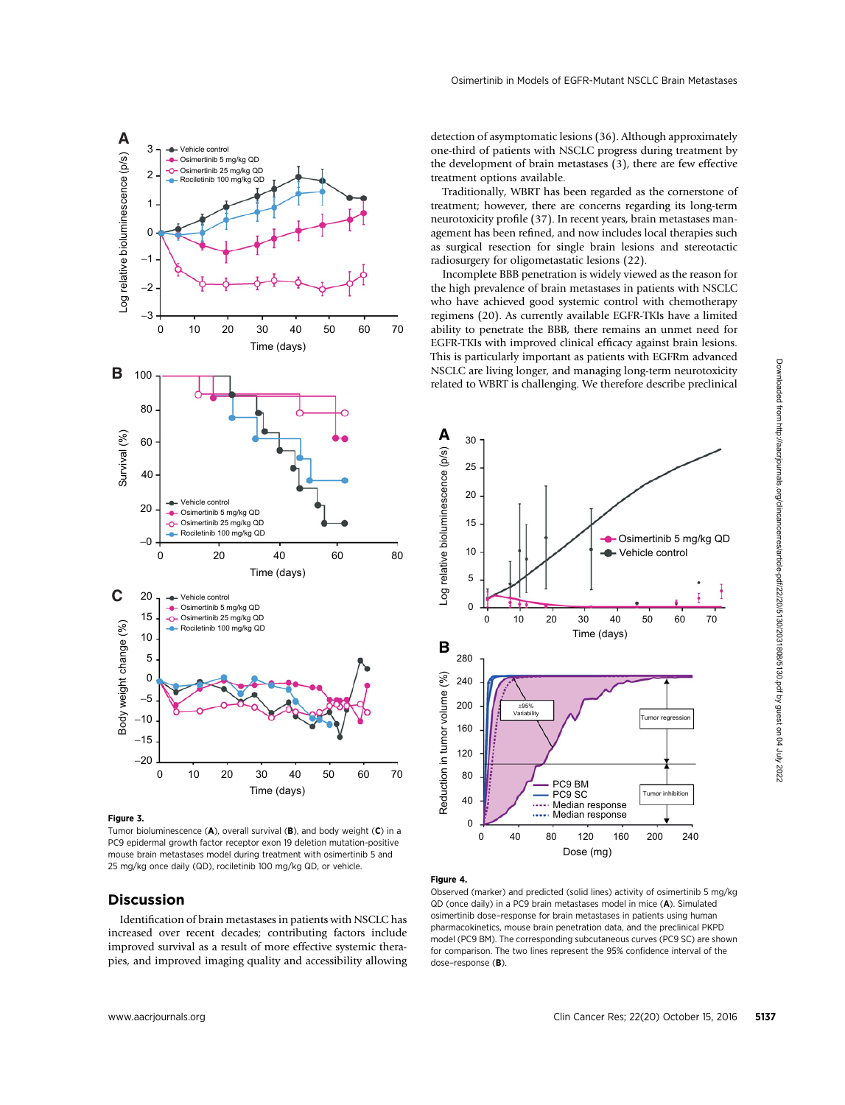

Figure 3.

Tumor bioluminescence (A), overall survival (B), and body weight (C) in a PC9 epidermal growth factor receptor exon 19 deletion mutation-positive mouse brain metastases model during treatment with osimertinib 5 and 25 mg/kg once daily (QD), rociletinib 100 mg/kg QD, or vehicle.

## Discussion

Identification of brain metastases in patients with NSCLC has increased over recent decades; contributing factors include improved survival as a result of more effective systemic therapies, and improved imaging quality and accessibility allowing detection of asymptomatic lesions (36). Although approximately one-third of patients with NSCLC progress during treatment by the development of brain metastases (3), there are few effective treatment options available.

Traditionally, WBRT has been regarded as the cornerstone of treatment; however, there are concerns regarding its long-term neurotoxicity profile (37). In recent years, brain metastases management has been refined, and now includes local therapies such as surgical resection for single brain lesions and stereotactic radiosurgery for oligometastatic lesions (22).

Incomplete BBB penetration is widely viewed as the reason for the high prevalence of brain metastases in patients with NSCLC who have achieved good systemic control with chemotherapy regimens (20). As currently available EGFR-TKIs have a limited ability to penetrate the BBB, there remains an unmet need for EGFR-TKIs with improved clinical efficacy against brain lesions. This is particularly important as patients with EGFRm advanced NSCLC are living longer, and managing long-term neurotoxicity related to WBRT is challenging. We therefore describe preclinical



#### Figure 4.

Observed (marker) and predicted (solid lines) activity of osimertinib 5 mg/kg QD (once daily) in a PC9 brain metastases model in mice (A). Simulated osimertinib dose–response for brain metastases in patients using human pharmacokinetics, mouse brain penetration data, and the preclinical PKPD model (PC9 BM). The corresponding subcutaneous curves (PC9 SC) are shown for comparison. The two lines represent the 95% confidence interval of the dose-response (B).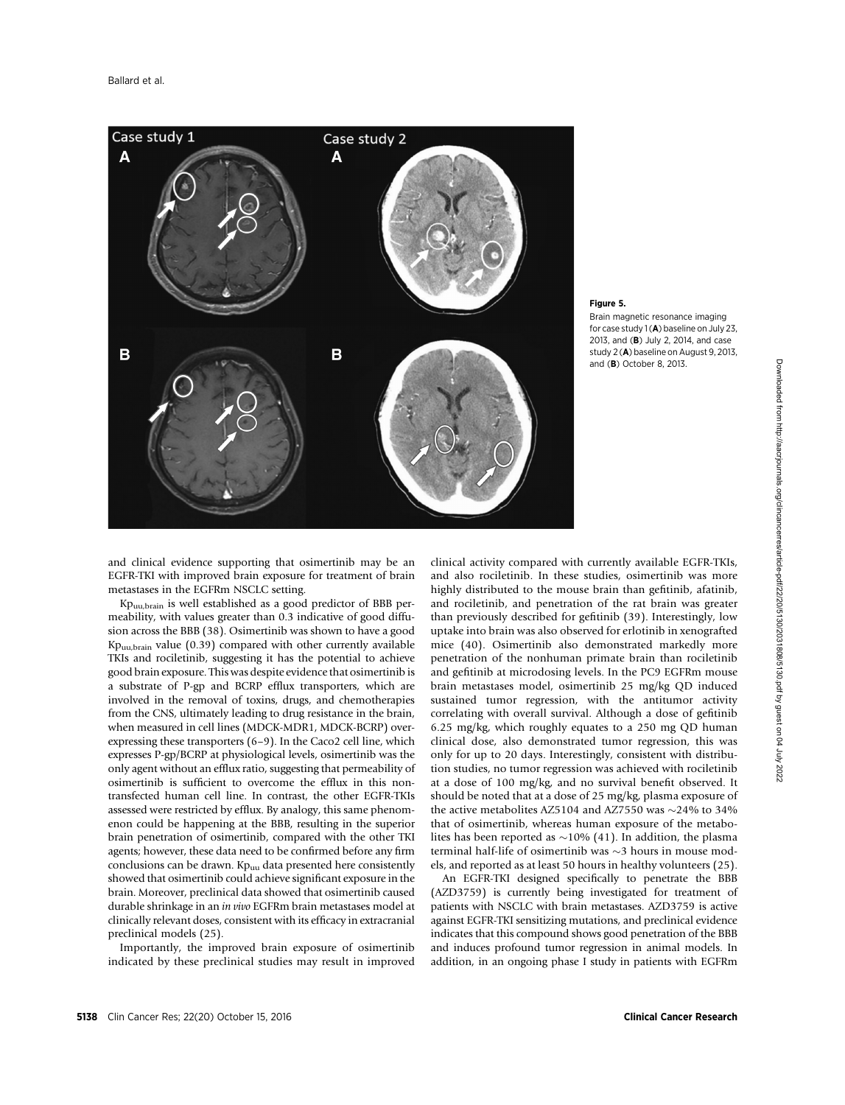

#### Figure 5.

Brain magnetic resonance imaging for case study  $1(A)$  baseline on July 23, 2013, and (B) July 2, 2014, and case study 2 (A) baseline on August 9, 2013, and (B) October 8, 2013.

and clinical evidence supporting that osimertinib may be an EGFR-TKI with improved brain exposure for treatment of brain metastases in the EGFRm NSCLC setting.

Kpuu,brain is well established as a good predictor of BBB permeability, with values greater than 0.3 indicative of good diffusion across the BBB (38). Osimertinib was shown to have a good Kpuu,brain value (0.39) compared with other currently available TKIs and rociletinib, suggesting it has the potential to achieve good brain exposure. This was despite evidence that osimertinib is a substrate of P-gp and BCRP efflux transporters, which are involved in the removal of toxins, drugs, and chemotherapies from the CNS, ultimately leading to drug resistance in the brain, when measured in cell lines (MDCK-MDR1, MDCK-BCRP) overexpressing these transporters (6–9). In the Caco2 cell line, which expresses P-gp/BCRP at physiological levels, osimertinib was the only agent without an efflux ratio, suggesting that permeability of osimertinib is sufficient to overcome the efflux in this nontransfected human cell line. In contrast, the other EGFR-TKIs assessed were restricted by efflux. By analogy, this same phenomenon could be happening at the BBB, resulting in the superior brain penetration of osimertinib, compared with the other TKI agents; however, these data need to be confirmed before any firm conclusions can be drawn.  $Kp_{uu}$  data presented here consistently showed that osimertinib could achieve significant exposure in the brain. Moreover, preclinical data showed that osimertinib caused durable shrinkage in an in vivo EGFRm brain metastases model at clinically relevant doses, consistent with its efficacy in extracranial preclinical models (25).

Importantly, the improved brain exposure of osimertinib indicated by these preclinical studies may result in improved clinical activity compared with currently available EGFR-TKIs, and also rociletinib. In these studies, osimertinib was more highly distributed to the mouse brain than gefitinib, afatinib, and rociletinib, and penetration of the rat brain was greater than previously described for gefitinib (39). Interestingly, low uptake into brain was also observed for erlotinib in xenografted mice (40). Osimertinib also demonstrated markedly more penetration of the nonhuman primate brain than rociletinib and gefitinib at microdosing levels. In the PC9 EGFRm mouse brain metastases model, osimertinib 25 mg/kg QD induced sustained tumor regression, with the antitumor activity correlating with overall survival. Although a dose of gefitinib 6.25 mg/kg, which roughly equates to a 250 mg QD human clinical dose, also demonstrated tumor regression, this was only for up to 20 days. Interestingly, consistent with distribution studies, no tumor regression was achieved with rociletinib at a dose of 100 mg/kg, and no survival benefit observed. It should be noted that at a dose of 25 mg/kg, plasma exposure of the active metabolites AZ5104 and AZ7550 was  $\sim$ 24% to 34% that of osimertinib, whereas human exposure of the metabolites has been reported as  $\sim$ 10% (41). In addition, the plasma terminal half-life of osimertinib was  $\sim$ 3 hours in mouse models, and reported as at least 50 hours in healthy volunteers (25).

An EGFR-TKI designed specifically to penetrate the BBB (AZD3759) is currently being investigated for treatment of patients with NSCLC with brain metastases. AZD3759 is active against EGFR-TKI sensitizing mutations, and preclinical evidence indicates that this compound shows good penetration of the BBB and induces profound tumor regression in animal models. In addition, in an ongoing phase I study in patients with EGFRm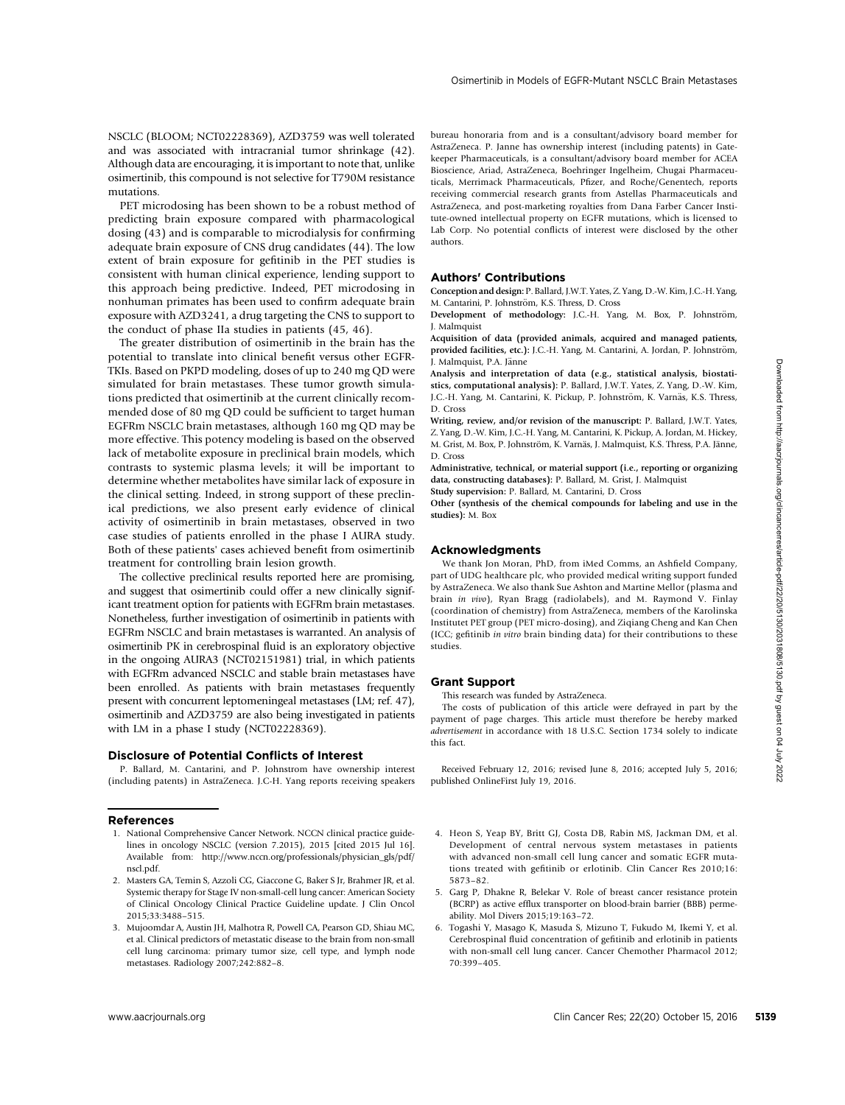NSCLC (BLOOM; NCT02228369), AZD3759 was well tolerated and was associated with intracranial tumor shrinkage (42). Although data are encouraging, it is important to note that, unlike osimertinib, this compound is not selective for T790M resistance mutations.

PET microdosing has been shown to be a robust method of predicting brain exposure compared with pharmacological dosing (43) and is comparable to microdialysis for confirming adequate brain exposure of CNS drug candidates (44). The low extent of brain exposure for gefitinib in the PET studies is consistent with human clinical experience, lending support to this approach being predictive. Indeed, PET microdosing in nonhuman primates has been used to confirm adequate brain exposure with AZD3241, a drug targeting the CNS to support to the conduct of phase IIa studies in patients (45, 46).

The greater distribution of osimertinib in the brain has the potential to translate into clinical benefit versus other EGFR-TKIs. Based on PKPD modeling, doses of up to 240 mg QD were simulated for brain metastases. These tumor growth simulations predicted that osimertinib at the current clinically recommended dose of 80 mg QD could be sufficient to target human EGFRm NSCLC brain metastases, although 160 mg QD may be more effective. This potency modeling is based on the observed lack of metabolite exposure in preclinical brain models, which contrasts to systemic plasma levels; it will be important to determine whether metabolites have similar lack of exposure in the clinical setting. Indeed, in strong support of these preclinical predictions, we also present early evidence of clinical activity of osimertinib in brain metastases, observed in two case studies of patients enrolled in the phase I AURA study. Both of these patients' cases achieved benefit from osimertinib treatment for controlling brain lesion growth. TKL have the client of the client of the client of the client of the client of the client of the client of the client of the client of the client of the client of the client of the client of the client of the client of th

The collective preclinical results reported here are promising, and suggest that osimertinib could offer a new clinically significant treatment option for patients with EGFRm brain metastases. Nonetheless, further investigation of osimertinib in patients with EGFRm NSCLC and brain metastases is warranted. An analysis of osimertinib PK in cerebrospinal fluid is an exploratory objective in the ongoing AURA3 (NCT02151981) trial, in which patients with EGFRm advanced NSCLC and stable brain metastases have been enrolled. As patients with brain metastases frequently present with concurrent leptomeningeal metastases (LM; ref. 47), osimertinib and AZD3759 are also being investigated in patients with LM in a phase I study (NCT02228369).

#### Disclosure of Potential Conflicts of Interest

P. Ballard, M. Cantarini, and P. Johnstrom have ownership interest (including patents) in AstraZeneca. J.C-H. Yang reports receiving speakers

#### References

- 1. National Comprehensive Cancer Network. NCCN clinical practice guidelines in oncology NSCLC (version 7.2015), 2015 [cited 2015 Jul 16]. Available from: http://www.nccn.org/professionals/physician\_gls/pdf/ nscl.pdf.
- 2. Masters GA, Temin S, Azzoli CG, Giaccone G, Baker S Jr, Brahmer JR, et al. Systemic therapy for Stage IV non-small-cell lung cancer: American Society of Clinical Oncology Clinical Practice Guideline update. J Clin Oncol 2015;33:3488–515.
- 3. Mujoomdar A, Austin JH, Malhotra R, Powell CA, Pearson GD, Shiau MC, et al. Clinical predictors of metastatic disease to the brain from non-small cell lung carcinoma: primary tumor size, cell type, and lymph node metastases. Radiology 2007;242:882–8.

bureau honoraria from and is a consultant/advisory board member for AstraZeneca. P. Janne has ownership interest (including patents) in Gatekeeper Pharmaceuticals, is a consultant/advisory board member for ACEA Bioscience, Ariad, AstraZeneca, Boehringer Ingelheim, Chugai Pharmaceuticals, Merrimack Pharmaceuticals, Pfizer, and Roche/Genentech, reports receiving commercial research grants from Astellas Pharmaceuticals and AstraZeneca, and post-marketing royalties from Dana Farber Cancer Institute-owned intellectual property on EGFR mutations, which is licensed to Lab Corp. No potential conflicts of interest were disclosed by the other authors.

#### Authors' Contributions

Conception and design: P. Ballard, J.W.T. Yates, Z. Yang, D.-W. Kim, J.C.-H. Yang, M. Cantarini, P. Johnström, K.S. Thress, D. Cross

Development of methodology: J.C.-H. Yang, M. Box, P. Johnström, J. Malmquist

Acquisition of data (provided animals, acquired and managed patients, provided facilities, etc.): J.C.-H. Yang, M. Cantarini, A. Jordan, P. Johnström, J. Malmquist, P.A. Jänne

Analysis and interpretation of data (e.g., statistical analysis, biostatistics, computational analysis): P. Ballard, J.W.T. Yates, Z. Yang, D.-W. Kim, J.C.-H. Yang, M. Cantarini, K. Pickup, P. Johnström, K. Varnäs, K.S. Thress, D. Cross

Writing, review, and/or revision of the manuscript: P. Ballard, J.W.T. Yates, Z. Yang, D.-W. Kim, J.C.-H. Yang, M. Cantarini, K. Pickup, A. Jordan, M. Hickey, M. Grist, M. Box, P. Johnström, K. Varnäs, J. Malmquist, K.S. Thress, P.A. Jänne, D. Cross

Administrative, technical, or material support (i.e., reporting or organizing data, constructing databases): P. Ballard, M. Grist, J. Malmquist Study supervision: P. Ballard, M. Cantarini, D. Cross

Other (synthesis of the chemical compounds for labeling and use in the studies): M. Box

#### Acknowledgments

We thank Jon Moran, PhD, from iMed Comms, an Ashfield Company, part of UDG healthcare plc, who provided medical writing support funded by AstraZeneca. We also thank Sue Ashton and Martine Mellor (plasma and brain in vivo), Ryan Bragg (radiolabels), and M. Raymond V. Finlay (coordination of chemistry) from AstraZeneca, members of the Karolinska Institutet PET group (PET micro-dosing), and Ziqiang Cheng and Kan Chen (ICC; gefitinib in vitro brain binding data) for their contributions to these studies.

#### Grant Support

This research was funded by AstraZeneca.

The costs of publication of this article were defrayed in part by the payment of page charges. This article must therefore be hereby marked advertisement in accordance with 18 U.S.C. Section 1734 solely to indicate this fact.

Received February 12, 2016; revised June 8, 2016; accepted July 5, 2016; published OnlineFirst July 19, 2016.

- 4. Heon S, Yeap BY, Britt GJ, Costa DB, Rabin MS, Jackman DM, et al. Development of central nervous system metastases in patients with advanced non-small cell lung cancer and somatic EGFR mutations treated with gefitinib or erlotinib. Clin Cancer Res 2010;16: 5873–82.
- 5. Garg P, Dhakne R, Belekar V. Role of breast cancer resistance protein (BCRP) as active efflux transporter on blood-brain barrier (BBB) permeability. Mol Divers 2015;19:163–72.
- 6. Togashi Y, Masago K, Masuda S, Mizuno T, Fukudo M, Ikemi Y, et al. Cerebrospinal fluid concentration of gefitinib and erlotinib in patients with non-small cell lung cancer. Cancer Chemother Pharmacol 2012; 70:399–405.